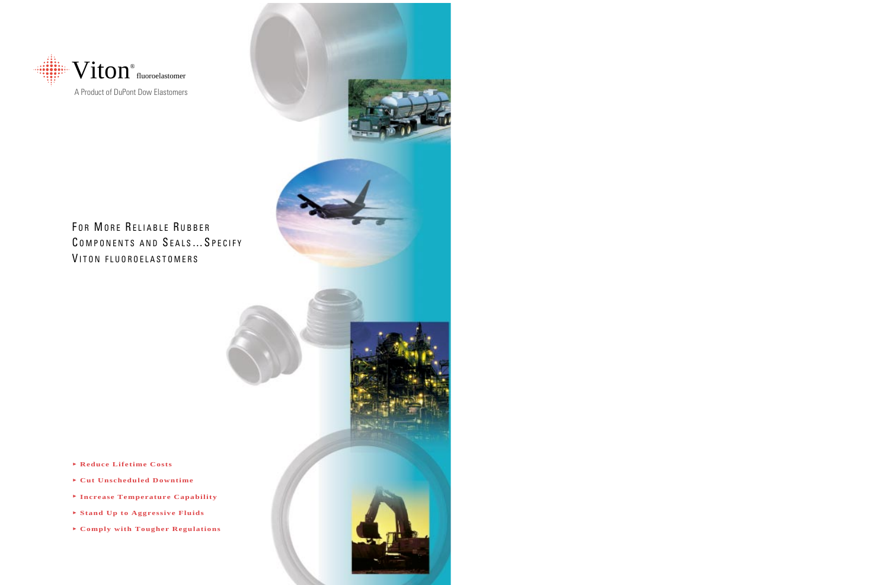

A Product of DuPont Dow Elastomers

# FOR MORE RELIABLE RUBBER COMPONENTS AND SEALS... SPECIFY VITON FLUOROELASTOMERS

- Reduce Lifetime Costs
- Cut Unscheduled Downtime
- Increase Temperature Capability
- Stand Up to Aggressive Fluids
- Comply with Tougher Regulations

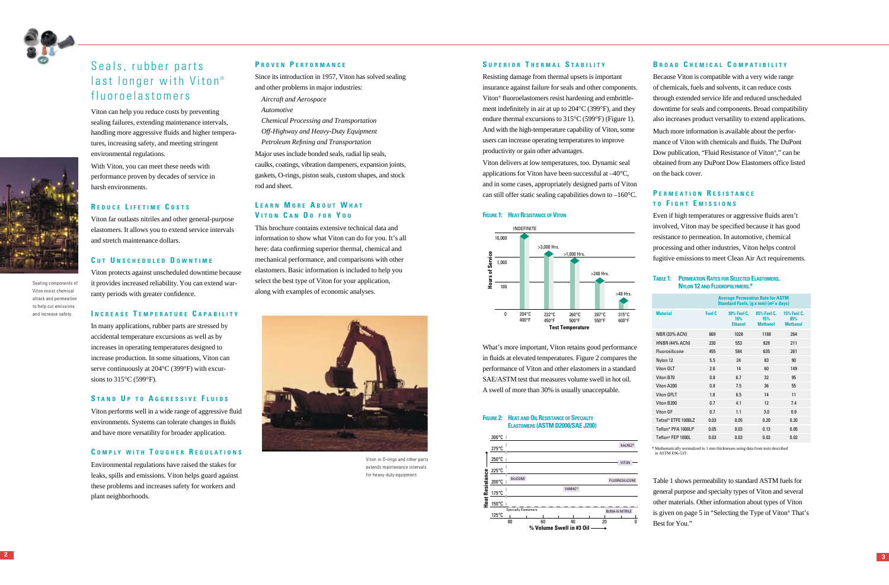#### **S UPERIOR T HERMAL S TABILITY**

Resisting damage from thermal upsets is important insurance against failure for seals and other components. Viton ® fluoroelastomers resist hardening and embrittlement indefinitely in air at up to 204°C (399°F), and they endure thermal excursions to 315°C (599°F) (Figure 1). And with the high-temperature capability of Viton, some users can increase operating temperatures to improve productivity or gain other advantages.

#### **FIGURE 2: HEAT AND OIL RESISTANCE OF SPECIALTY ELASTOMERS (ASTM D2000/SAE J200)**

Viton delivers at low temperatures, too. Dynamic seal applications for Viton have been successful at –40 °C, and in some cases, appropriately designed parts of Viton can still offer static sealing capabilities down to –160 °C.

#### **FIGURE 1: HEAT RESISTANCE OF VITON**

What 's more important, Viton retains good performance in fluids at elevated temperatures. Figure 2 compares the performance of Viton and other elastomers in a standard SAE/ASTM test that measures volume swell in hot oil. A swell of more than 30% is usually unacceptable.

Even if high temperatures or aggressive fluids aren't involved, Viton may be speci fied because it has good resistance to permeation. In automotive, chemical processing and other industries, Viton helps control fugitive emissions to meet Clean Air Act requirements.

#### **B ROAD C HEMICAL C OMPATIBILITY**

Because Viton is compatible with a very wide range of chemicals, fuels and solvents, it can reduce costs through extended service life and reduced unscheduled downtime for seals and components. Broad compatibility also increases product versatility to extend applications. Much more information is available about the performance of Viton with chemicals and fluids. The DuPont Dow publication, "Fluid Resistance of Viton ® , " can be obtained from any DuPont Dow Elastomers office listed on the back cover.

## **P ERMEATION R ESISTANCE T O F IGHT E MISSIONS**

In many applications, rubber parts are stressed by accidental temperature excursions as well as by increases in operating temperatures designed to increase production. In some situations, Viton can serve continuously at 204 °C (399 °F) with excursions to  $315^{\circ}$ C (599 $^{\circ}$ F).

#### **TABLE 1: PERMEATION RATES FOR SELECTED ELASTOMERS, NYLON 12 AND FLUOROPOLYMERS.\***

Table 1 shows permeability to standard ASTM fuels for general purpose and specialty types of Viton and several other materials. Other information about types of Viton is given on page 5 in "Selecting the Type of Viton ® That ' s Best for You. "









## Seals, rubber parts last longer with Viton ® fluoroelastomers

Viton can help you reduce costs by preventing sealing failures, extending maintenance intervals, handling more aggressive fluids and higher temperatures, increasing safety, and meeting stringent environmental regulations.

With Viton, you can meet these needs with performance proven by decades of service in harsh environments.

## **R EDUCE L IFETIME C OSTS**

Viton far outlasts nitriles and other general-purpose elastomers. It allows you to extend service intervals and stretch maintenance dollars.

## **C U T U NSCHEDULED D OWNTIME**

Viton protects against unscheduled downtime because it provides increased reliability.You can extend warranty periods with greater confidence.

#### **I NCREASE T EMPERATURE C APABILITY**

## **S TAND U P TO A GGRESSIVE F LUIDS**

Viton performs well in a wide range of aggressive fluid environments. Systems can tolerate changes in fluids and have more versatility for broader application.

### **C OMPLY WITH T OUGHER R EGULATIONS**

Environmental regulations have raised the stakes for leaks, spills and emissions. Viton helps guard against these problems and increases safety for workers and plant neighborhoods.

#### **P ROVEN P ERFORMANCE**

Since its introduction in 1957, Viton has solved sealing and other problems in major industries:

- *Aircraft and Aerospace*
- *Automotive*

*Chemical Processing and Transportation Off-Highway and Heavy-Duty Equipment Petroleum Refining and Transportation*

Major uses include bonded seals, radial lip seals, caulks, coatings, vibration dampeners, expansion joints, gaskets, O-rings, piston seals, custom shapes, and stock rod and sheet.

## **L EARN M ORE A BOUT W HAT V ITON C A N D O FOR Y O U**

This brochure contains extensive technical data and information to show what Viton can do for you. It 's all here: data con firming superior thermal, chemical and mechanical performance, and comparisons with other elastomers. Basic information is included to help you select the best type of Viton for your application, along with examples of economic analyses.



Viton in O-rings and other parts extends maintenance intervals for heavy-duty equipment.

Sealing components of Viton resist chemical attack and permeation to help cut emissions and increase safety.

\* Mathematically normalized to 1 mm thicknesses using data from tests described in ASTM E96-53T.

|                       | <b>Average Permeation Rate for ASTM</b><br>Standard Fuels, (g x mm) (m <sup>2</sup> x days) |                                      |                                       |                                              |  |  |
|-----------------------|---------------------------------------------------------------------------------------------|--------------------------------------|---------------------------------------|----------------------------------------------|--|--|
| <b>Material</b>       | Fuel C                                                                                      | 90% Fuel C.<br>10%<br><b>Ethanol</b> | 85% Fuel C.<br>15%<br><b>Methanol</b> | <b>15% Fuel C.</b><br>85%<br><b>Methanol</b> |  |  |
| <b>NBR (33% ACN)</b>  | 669                                                                                         | 1028                                 | 1188                                  | 264                                          |  |  |
| <b>HNBR (44% ACN)</b> | 230                                                                                         | 553                                  | 828                                   | 211                                          |  |  |
| <b>Fluorosilicone</b> | 455                                                                                         | 584                                  | 635                                   | 261                                          |  |  |
| Nylon 12              | 5.5                                                                                         | 24                                   | 83                                    | 90                                           |  |  |
| Viton GLT             | 2.6                                                                                         | 14                                   | 60                                    | 149                                          |  |  |
| Viton B70             | 0.8                                                                                         | 6.7                                  | 32                                    | 95                                           |  |  |
| Viton A200            | 0.8                                                                                         | 7.5                                  | 36                                    | 55                                           |  |  |
| <b>Viton GFLT</b>     | 1.8                                                                                         | 6.5                                  | 14                                    | 11                                           |  |  |
| Viton B200            | 0.7                                                                                         | 4.1                                  | 12                                    | 7.4                                          |  |  |
| Viton GF              | 0.7                                                                                         | 1.1                                  | 3.0                                   | 0.9                                          |  |  |
| Tefzel® ETFE 1000LZ   | 0.03                                                                                        | 0.05                                 | 0.20                                  | 0.20                                         |  |  |
| Teflon® PFA 1000LP    | 0.05                                                                                        | 0.03                                 | 0.13                                  | 0.05                                         |  |  |
| Teflon® FFP 1000L     | 0.03                                                                                        | 0.03                                 | 0.03                                  | 0.03                                         |  |  |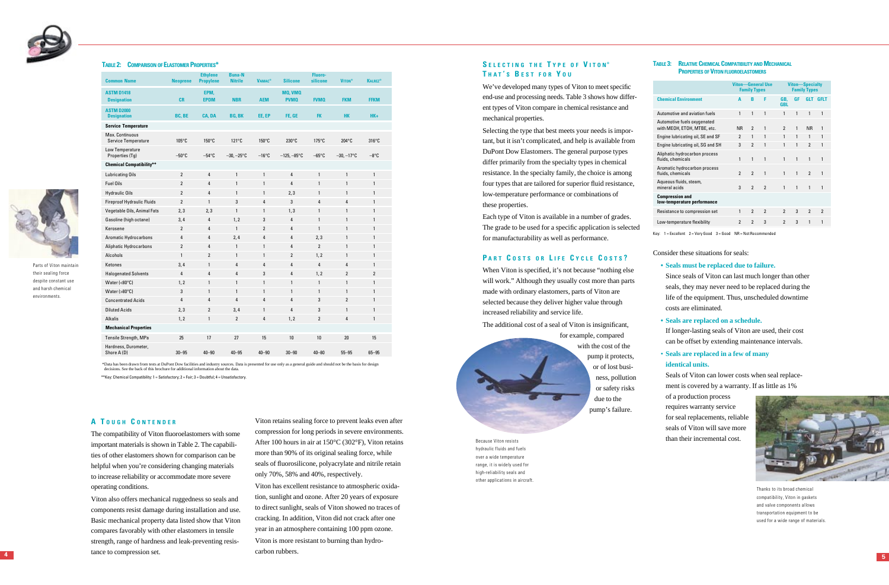## **S ELECTING THE T YPE OF V ITON ® T HAT ' S B EST FOR Y O U**

We've developed many types of Viton to meet specific end-use and processing needs. Table 3 shows how different types of Viton compare in chemical resistance and mechanical properties.

Selecting the type that best meets your needs is important, but it isn't complicated, and help is available from DuPont Dow Elastomers. The general purpose types differ primarily from the specialty types in chemical resistance. In the specialty family, the choice is among four types that are tailored for superior fluid resistance, low-temperature performance or combinations of these properties.

#### **TABLE 3: RELATIVE CHEMICAL COMPATIBILITY AND MECHANICAL PROPERTIES OF VITON FLUOROELASTOMERS**

Each type of Viton is available in a number of grades. The grade to be used for a speci fic application is selected for manufacturability as well as performance.

#### **P ART C OSTS OR L IFE C YCLE C OSTS ?**

When Viton is speci fied, it 's not because "nothing else will work. " Although they usually cost more than parts made with ordinary elastomers, parts of Viton are selected because they deliver higher value through increased reliability and service life.

The additional cost of a seal of Viton is insigni ficant,



pump it protects, or of lost business, pollution or safety risks due to the pump 's failure.

Consider these situations for seals:

- **Seals must be replaced due to failure.**
- Since seals of Viton can last much longer than other seals, they may never need to be replaced during the life of the equipment. Thus, unscheduled downtime costs are eliminated.
- **• Seals are replaced on a schedule.**

If longer-lasting seals of Viton are used, their cost can be offset by extending maintenance intervals.

• **Seals are replaced in a few of many identical units.**

Parts of Viton maintain their sealing force despite constant use and harsh chemical environments.

> Seals of Viton can lower costs when seal replacement is covered by a warranty. If as little as 1%

of a production process requires warranty service for seal replacements, reliable seals of Viton will save more than their incremental cost.

#### **A T OUGH C ONTENDER**

The compatibility of Viton fluoroelastomers with some important materials is shown in Table 2. The capabilities of other elastomers shown for comparison can be helpful when you 're considering changing materials to increase reliability or accommodate more severe operating conditions.

Viton also offers mechanical ruggedness so seals and components resist damage during installation and use. Basic mechanical property data listed show that Viton compares favorably with other elastomers in tensile strength, range of hardness and leak-preventing resistance to compression set.

Viton retains sealing force to prevent leaks even after compression for long periods in severe environments. After 100 hours in air at 150 °C (302 °F), Viton retains more than 90% of its original sealing force, while seals of fluorosilicone, polyacrylate and nitrile retain only 70%, 58% and 40%, respectively.

Viton has excellent resistance to atmospheric oxidation, sunlight and ozone. After 20 years of exposure to direct sunlight, seals of Viton showed no traces of cracking. In addition, Viton did not crack after one year in an atmosphere containing 100 ppm ozone. Viton is more resistant to burning than hydrocarbon rubbers.

Because Viton resists hydraulic fluids and fuels over a wide temperature range, it is widely used for high-reliability seals and other applications in aircraft.





Thanks to its broad chemical compatibility, Viton in gaskets and valve components allows transportation equipment to be used for a wide range of materials.



#### **TABLE 2: COMPARISON OF ELASTOMER PROPERTIES \***

\*Data has been drawn from tests at DuPont Dow facilities and industry sources. Data is presented for use only as a general guide and should not be the basis for design decisions. See the back of this brochure for additional information about the data.

\*\*Key: Chemical Compatibility: 1 = Satisfactory; 2 = Fair; 3 = Doubtful; 4 = Unsatisfactory.

| <b>Common Name</b>                            | <b>Neoprene</b> | <b>Ethylene</b><br><b>Propylene</b> | <b>Buna-N</b><br><b>Nitrile</b> | <b>VAMAC<sup>®</sup></b> | <b>Silicone</b>        | Fluoro-<br>silicone | <b>VITON®</b>   | <b>KALREZ®</b>  |
|-----------------------------------------------|-----------------|-------------------------------------|---------------------------------|--------------------------|------------------------|---------------------|-----------------|-----------------|
| <b>ASTM D1418</b><br><b>Designation</b>       | <b>CR</b>       | EPM.<br><b>EPDM</b>                 | <b>NBR</b>                      | <b>AEM</b>               | MQ, VMQ<br><b>PVMQ</b> | <b>FVMQ</b>         | <b>FKM</b>      | <b>FFKM</b>     |
| <b>ASTM D2000</b><br><b>Designation</b>       | BC, BE          | CA, DA                              | <b>BG, BK</b>                   | EE, EP                   | FE, GE                 | <b>FK</b>           | <b>HK</b>       | $HK+$           |
| <b>Service Temperature</b>                    |                 |                                     |                                 |                          |                        |                     |                 |                 |
| Max. Continuous<br><b>Service Temperature</b> | $105^{\circ}$ C | $150^{\circ}$ C                     | $121^{\circ}C$                  | $150^{\circ}$ C          | $230^{\circ}$ C        | $175^{\circ}$ C     | $204^{\circ}$ C | $316^{\circ}$ C |
| Low Temperature<br>Properties (Tg)            | $-50^{\circ}$ C | $-54^{\circ}$ C                     | $-30, -25^{\circ}$ C            | $-16^{\circ}$ C          | $-125, -85^{\circ}$ C  | $-65^{\circ}$ C     | $-30, -17$ °C   | $-8^{\circ}$ C  |
| <b>Chemical Compatibility**</b>               |                 |                                     |                                 |                          |                        |                     |                 |                 |
| Lubricating Oils                              | $\overline{2}$  | $\overline{4}$                      | $\mathbf{1}$                    | $\mathbf{1}$             | $\overline{4}$         | $\mathbf{1}$        | $\mathbf{1}$    | $\mathbf{1}$    |
| <b>Fuel Oils</b>                              | $\overline{2}$  | 4                                   | $\mathbf{1}$                    | $\mathbf{1}$             | $\overline{4}$         | $\mathbf{1}$        | $\mathbf{1}$    | $\mathbf{1}$    |
| <b>Hydraulic Oils</b>                         | $\overline{2}$  | $\overline{4}$                      | $\mathbf{1}$                    | $\mathbf{1}$             | 2,3                    | $\mathbf{1}$        | $\mathbf{1}$    | $\mathbf{1}$    |
| Fireproof Hydraulic Fluids                    | $\overline{2}$  | $\mathbf{1}$                        | 3                               | $\overline{4}$           | 3                      | $\overline{4}$      | $\overline{4}$  | $\mathbf{1}$    |
| Vegetable Oils, Animal Fats                   | 2,3             | 2,3                                 | $\mathbf{1}$                    | $\mathbf{1}$             | 1, 3                   | $\mathbf{1}$        | $\mathbf{1}$    | $\mathbf{1}$    |
| Gasoline (high octane)                        | 3,4             | 4                                   | 1, 2                            | 3                        | $\overline{4}$         | $\mathbf{1}$        | $\mathbf{1}$    | $\mathbf{1}$    |
| Kerosene                                      | $\overline{2}$  | 4                                   | $\mathbf{1}$                    | $\overline{2}$           | $\overline{4}$         | $\mathbf{1}$        | $\mathbf{1}$    | $\mathbf{1}$    |
| <b>Aromatic Hydrocarbons</b>                  | 4               | 4                                   | 2,4                             | 4                        | 4                      | 2,3                 | $\mathbf{1}$    | $\mathbf{1}$    |
| Aliphatic Hydrocarbons                        | $\overline{2}$  | 4                                   | $\mathbf{1}$                    | $\mathbf{1}$             | $\overline{4}$         | $\overline{2}$      | $\mathbf{1}$    | $\mathbf{1}$    |
| Alcohols                                      | $\mathbf{1}$    | $\overline{2}$                      | $\mathbf{1}$                    | $\mathbf{1}$             | $\overline{2}$         | 1, 2                | $\mathbf{1}$    | $\mathbf{1}$    |
| Ketones                                       | 3,4             | $\mathbf{1}$                        | 4                               | 4                        | 4                      | 4                   | 4               | $\mathbf{1}$    |
| <b>Halogenated Solvents</b>                   | $\overline{4}$  | 4                                   | $\overline{4}$                  | 3                        | $\overline{4}$         | 1, 2                | $\overline{2}$  | $\overline{2}$  |
| Water $(<80°C)$                               | 1, 2            | $\mathbf{1}$                        | $\mathbf{1}$                    | $\mathbf{1}$             | $\mathbf{1}$           | $\mathbf{1}$        | $\mathbf{1}$    | $\mathbf{1}$    |
| Water $(>80°C)$                               | 3               | $\mathbf{1}$                        | $\mathbf{1}$                    | $\mathbf{1}$             | $\mathbf{1}$           | $\mathbf{1}$        | $\mathbf{1}$    | $\mathbf{1}$    |
| <b>Concentrated Acids</b>                     | $\overline{4}$  | 4                                   | $\overline{4}$                  | $\overline{4}$           | $\overline{4}$         | 3                   | $\overline{2}$  | $\mathbf{1}$    |
| <b>Diluted Acids</b>                          | 2,3             | $\overline{2}$                      | 3,4                             | $\mathbf{1}$             | $\overline{4}$         | 3                   | $\mathbf{1}$    | $\mathbf{1}$    |
| <b>Alkalis</b>                                | 1, 2            | $\mathbf{1}$                        | $\overline{2}$                  | 4                        | 1, 2                   | $\overline{2}$      | $\overline{4}$  | $\mathbf{1}$    |
| <b>Mechanical Properties</b>                  |                 |                                     |                                 |                          |                        |                     |                 |                 |
| Tensile Strength, MPa                         | 25              | 17                                  | 27                              | 15                       | 10                     | 10                  | 20              | 15              |
| Hardness, Durometer,<br>Shore A (D)           | $30 - 95$       | $40 - 90$                           | $40 - 95$                       | $40 - 90$                | $30 - 90$              | $40 - 80$           | $55 - 95$       | $65 - 95$       |
|                                               |                 |                                     |                                 |                          |                        |                     |                 |                 |

|                                                            | <b>Viton-General Use</b><br><b>Family Types</b> |                | <b>Viton-Specialty</b><br><b>Family Types</b> |                          |              |                          |                |
|------------------------------------------------------------|-------------------------------------------------|----------------|-----------------------------------------------|--------------------------|--------------|--------------------------|----------------|
| <b>Chemical Environment</b>                                | A                                               | B              | F                                             | GB.<br><b>GBL</b>        | <b>GF</b>    | <b>GLT</b>               | <b>GFLT</b>    |
| Automotive and aviation fuels                              | 1                                               | 1              | 1                                             | 1                        | 1            | 1                        | 1              |
| Automotive fuels oxygenated<br>with MEOH, ETOH, MTBE, etc. | <b>NR</b>                                       | $\mathfrak{p}$ | 1                                             | 2                        | 1            | <b>NR</b>                | 1              |
| Engine lubricating oil, SE and SF                          | 2                                               | 1              | 1                                             | 1                        | 1            | 1                        | 1              |
| Engine lubricating oil, SG and SH                          | 3                                               | $\overline{2}$ | 1                                             | 1                        | 1            | $\overline{2}$           | 1              |
| Aliphatic hydrocarbon process<br>fluids, chemicals         | 1                                               | 1              | 1                                             | 1                        | 1            | 1                        | 1              |
| Aromatic hydrocarbon process<br>fluids, chemicals          | $\overline{2}$                                  | $\mathfrak{p}$ | 1                                             | 1                        | $\mathbf{1}$ | $\overline{2}$           | 1              |
| Aqueous fluids, steam,<br>mineral acids                    | 3                                               | $\overline{2}$ | $\overline{\phantom{a}}$                      | 1                        | 1            | 1                        | 1              |
| <b>Compression and</b><br>low-temperature performance      |                                                 |                |                                               |                          |              |                          |                |
| Resistance to compression set                              | 1                                               | $\overline{2}$ | $\mathfrak{p}$                                | 2                        | 3            | $\overline{\phantom{a}}$ | $\mathfrak{p}$ |
| Low-temperature flexibility                                | $\overline{2}$                                  | $\overline{2}$ | 3                                             | $\overline{\phantom{a}}$ | 3            | 1                        | 1              |

Key: 1 = Excellent 2 = Very Good 3 = Good NR = Not Recommended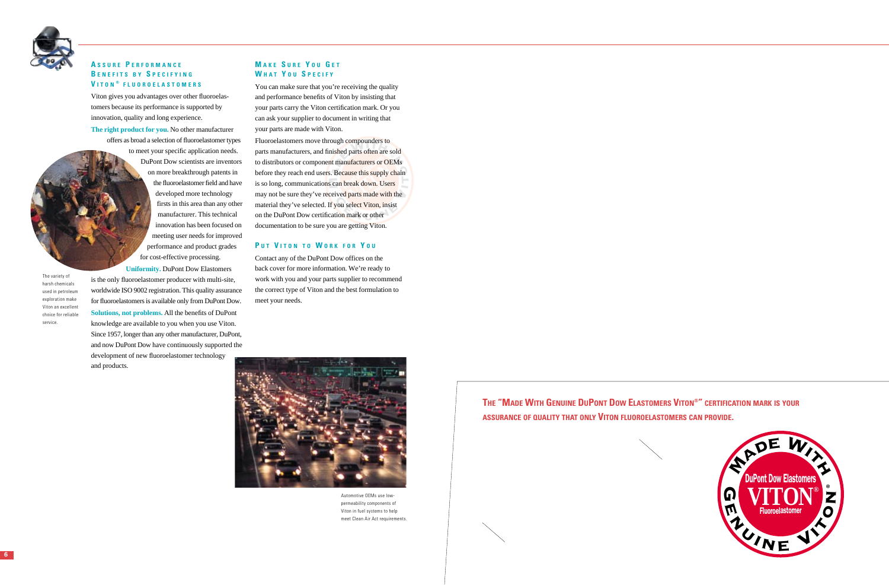**6**



## **A SSURE P ERFORMANCE B ENEFITS BY S PECIFYING V ITON ® FLUOROELASTOMERS**

Viton gives you advantages over other fluoroelastomers because its performance is supported by innovation, quality and long experience.

**The right product for you.** No other manufacturer offers as broad a selection of fluoroelastomer types to meet your specific application needs. DuPont Dow scientists are inventors on more breakthrough patents in the fluoroelastomer field and have developed more technology firsts in this area than any other manufacturer. This technical innovation has been focused on meeting user needs for improved performance and product grades for cost-effective processing.

parts manufacturers, and fini<mark>shed parts often are</mark> sold  $\overline{\text{a}}$ bugn compounders to<br>ished parts often are<br>it manufacturers or C<br>. Because this supply material they've selected. If you select Viton, insist<br>on the DuPont Dow certification mark or other is so long, communications can break down. Users<br>may not be sure they've received parts made with the tto distributors or component manufacturers or OEMs<br>before they reach end users. Because this supply chain to distributors or component manufacturers or OEMs<br>before they reach end users. Because this supply chai<br>is so long, communications can break down. Users ufacturers or OE<br>use this supply c<br>reak down. User<br>parts made with Fluoroelastomers move through compounders to is so long, communications can break down. Users on the DuPont Dow certification mark or other documentation to be sure you are getting Viton.

**Uniformity.** DuPont Dow Elastomers is the only fluoroelastomer producer with multi-site, worldwide ISO 9002 registration. This quality assurance for fluoroelastomers is available only from DuPont Dow. **Solutions, not problems.** All the benefits of DuPont knowledge are available to you when you use Viton. Since 1957, longer than any other manufacturer, DuPont, and now DuPont Dow have continuously supported the development of new fluoroelastomer technology and products.

## **M AKE S URE Y O U G E T W HAT Y O U S PECIFY**

You can make sure that you're receiving the quality and performance benefits of Viton by insisting that your parts carry the Viton certification mark. Or you can ask your supplier to document in writing that your parts are made with Viton.

## **P U T V ITON TO W ORK FOR Y O U**

Contact any of the DuPont Dow offices on the back cover for more information. We're ready to work with you and your parts supplier to recommend the correct type of Viton and the best formulation to meet your needs.



Automotive OEMs use lowpermeability components of Viton in fuel systems to help meet Clean Air Act requirements.

The variety of harsh chemicals used in petroleum exploration make Viton an excellent choice for reliable service.



## **THE "MADE WITH GENUINE DUPONT DOW ELASTOMERS VITON®" CERTIFICATION MARK IS YOUR ASSURANCE OF QUALITY THAT ONLY VITON FLUOROELASTOMERS CAN PROVIDE.**